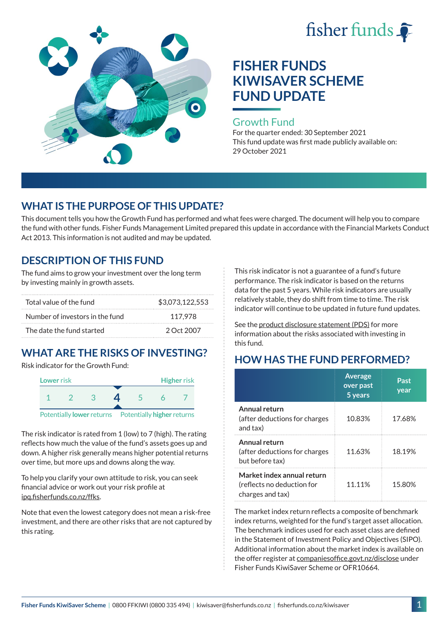



#### Growth Fund

For the quarter ended: 30 September 2021 This fund update was first made publicly available on: 29 October 2021

## **WHAT IS THE PURPOSE OF THIS UPDATE?**

This document tells you how the Growth Fund has performed and what fees were charged. The document will help you to compare the fund with other funds. Fisher Funds Management Limited prepared this update in accordance with the Financial Markets Conduct Act 2013. This information is not audited and may be updated.

### **DESCRIPTION OF THIS FUND**

The fund aims to grow your investment over the long term by investing mainly in growth assets.

| Total value of the fund         | \$3,073,122,553 |
|---------------------------------|-----------------|
| Number of investors in the fund | 117.978         |
| The date the fund started       | 2 Oct 2007      |

# **WHAT ARE THE RISKS OF INVESTING?**

Risk indicator for the Growth Fund:



The risk indicator is rated from 1 (low) to 7 (high). The rating reflects how much the value of the fund's assets goes up and down. A higher risk generally means higher potential returns over time, but more ups and downs along the way.

To help you clarify your own attitude to risk, you can seek financial advice or work out your risk profile at [ipq.fisherfunds.co.nz/ffks](https://ipq.fisherfunds.co.nz/ffks).

Note that even the lowest category does not mean a risk-free investment, and there are other risks that are not captured by this rating.

This risk indicator is not a guarantee of a fund's future performance. The risk indicator is based on the returns data for the past 5 years. While risk indicators are usually relatively stable, they do shift from time to time. The risk indicator will continue to be updated in future fund updates.

See the [product disclosure statement \(PDS\)](https://fisherfunds.co.nz/assets/PDS/Fisher-Funds-KiwiSaver-Scheme-PDS.pdf) for more information about the risks associated with investing in this fund.

## **HOW HAS THE FUND PERFORMED?**

|                                                                              | <b>Average</b><br>over past<br>5 years | Past<br>year |
|------------------------------------------------------------------------------|----------------------------------------|--------------|
| Annual return<br>(after deductions for charges<br>and tax)                   | 10.83%                                 | 17.68%       |
| Annual return<br>(after deductions for charges<br>but before tax)            | 11.63%                                 | 18.19%       |
| Market index annual return<br>(reflects no deduction for<br>charges and tax) | 11.11%                                 | 15.80%       |

The market index return reflects a composite of benchmark index returns, weighted for the fund's target asset allocation. The benchmark indices used for each asset class are defined in the Statement of Investment Policy and Objectives (SIPO). Additional information about the market index is available on the offer register at [companiesoffice.govt.nz/disclose](http://companiesoffice.govt.nz/disclose) under Fisher Funds KiwiSaver Scheme or OFR10664.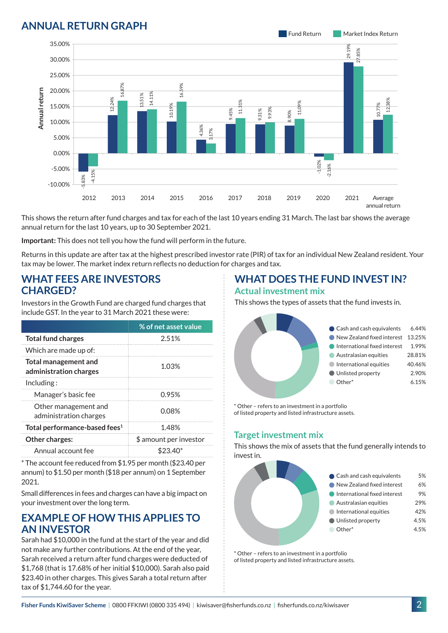### **ANNUAL RETURN GRAPH**



This shows the return after fund charges and tax for each of the last 10 years ending 31 March. The last bar shows the average annual return for the last 10 years, up to 30 September 2021.

**Important:** This does not tell you how the fund will perform in the future.

Returns in this update are after tax at the highest prescribed investor rate (PIR) of tax for an individual New Zealand resident. Your tax may be lower. The market index return reflects no deduction for charges and tax.

#### **WHAT FEES ARE INVESTORS CHARGED?**

Investors in the Growth Fund are charged fund charges that include GST. In the year to 31 March 2021 these were:

|                                                | % of net asset value   |  |
|------------------------------------------------|------------------------|--|
| <b>Total fund charges</b>                      | 2.51%                  |  |
| Which are made up of:                          |                        |  |
| Total management and<br>administration charges | 1.03%                  |  |
| Inding:                                        |                        |  |
| Manager's basic fee                            | <u>በ 95%</u>           |  |
| Other management and<br>administration charges | 0.08%                  |  |
| Total performance-based fees <sup>1</sup>      | 1.48%                  |  |
| <b>Other charges:</b>                          | \$ amount per investor |  |
| Annual account fee                             | $$23.40*$              |  |

\* The account fee reduced from \$1.95 per month (\$23.40 per annum) to \$1.50 per month (\$18 per annum) on 1 September 2021.

Small differences in fees and charges can have a big impact on your investment over the long term.

### **EXAMPLE OF HOW THIS APPLIES TO AN INVESTOR**

Sarah had \$10,000 in the fund at the start of the year and did not make any further contributions. At the end of the year, Sarah received a return after fund charges were deducted of \$1,768 (that is 17.68% of her initial \$10,000). Sarah also paid \$23.40 in other charges. This gives Sarah a total return after tax of \$1,744.60 for the year.

#### **WHAT DOES THE FUND INVEST IN? Actual investment mix**

This shows the types of assets that the fund invests in.



\* Other – refers to an investment in a portfolio of listed property and listed infrastructure assets.

#### **Target investment mix**

This shows the mix of assets that the fund generally intends to invest in.



\* Other – refers to an investment in a portfolio of listed property and listed infrastructure assets.